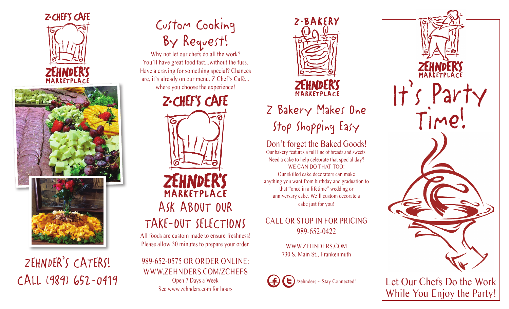



ZEHNDER'S CATERS! CALL (989) 652-0419

# Custom Cooking By Request!

Why not let our chefs do all the work? You'll have great food fast...without the fuss. Have a craving for something special? Chances are, it's already on our menu. Z Chef's Café... where you choose the experience!



All foods are custom made to ensure freshness! Please allow 30 minutes to prepare your order.

989-652-0575 OR ORDER ONLINE: WWW.ZEHNDERS.COM/ZCHEFS Open 7 Days a Week See www.zehnders.com for hours



# Z Bakery Makes One Stop Shopping Easy

Don't forget the Baked Goods! Our bakery features a full line of breads and sweets. Need a cake to help celebrate that special day? WE CAN DO THAT TOO! Our skilled cake decorators can make anything you want from birthday and graduation to that "once in a lifetime" wedding or anniversary cake. We'll custom decorate a cake just for you!

CALL OR STOP IN FOR PRICING 989-652-0422

> WWW.ZEHNDERS.COM 730 S. Main St., Frankenmuth



It's Party<br>Time! Let Our Chefs Do the Work

While You Enjoy the Party!